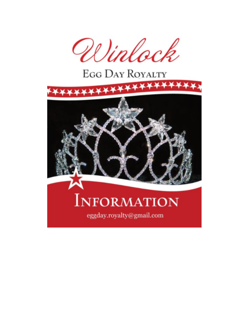

# **EGG DAY ROYALTY**

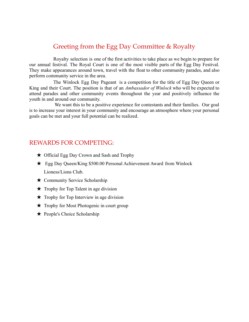### Greeting from the Egg Day Committee & Royalty

Royalty selection is one of the first activities to take place as we begin to prepare for our annual festival. The Royal Court is one of the most visible parts of the Egg Day Festival. They make appearances around town, travel with the float to other community parades, and also perform community service in the area.

The Winlock Egg Day Pageant is a competition for the title of Egg Day Queen or King and their Court. The position is that of an *Ambassador of Winlock* who will be expected to attend parades and other community events throughout the year and positively influence the youth in and around our community.

We want this to be a positive experience for contestants and their families. Our goal is to increase your interest in your community and encourage an atmosphere where your personal goals can be met and your full potential can be realized.

#### REWARDS FOR COMPETING:

- ★ Official Egg Day Crown and Sash and Trophy
- ★ Egg Day Queen/King \$500.00 Personal Achievement Award from Winlock Lioness/Lions Club.
- ★ Community Service Scholarship
- ★ Trophy for Top Talent in age division
- $\star$  Trophy for Top Interview in age division
- ★ Trophy for Most Photogenic in court group
- ★ People's Choice Scholarship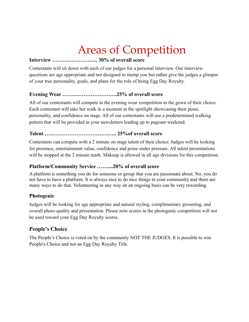# Areas of Competition

#### **Interview …………………….. 30% of overall score**

Contestants will sit down with each of our judges for a personal interview. Our interview questions are age appropriate and not designed to stump you but rather give the judges a glimpse of your true personality, goals, and plans for the role of being Egg Day Royalty.

#### **Evening Wear ………………………….25% of overall score**

All of our contestants will compete in the evening wear competition in the gown of their choice. Each contestant will take her walk in a moment in the spotlight showcasing their poise, personality, and confidence on stage. All of our contestants will use a predetermined walking pattern that will be provided in your newsletters leading up to pageant weekend.

#### **Talent ………………………………….. 25%of overall score**

Contestants can compete with a 2 minute on stage talent of their choice. Judges will be looking for presence, entertainment value, confidence and poise under pressure. All talent presentations will be stopped at the 2 minute mark. Makeup is allowed in all age divisions for this competition.

#### **Platform/Community Service ……....20% of overall score**

A platform is something you do for someone or group that you are passionate about. No, you do not have to have a platform. It is always nice to do nice things in your community and there are many ways to do that. Volunteering in any way on an ongoing basis can be very rewarding.

#### **Photogenic**

Judges will be looking for age appropriate and natural styling, complimentary grooming, and overall photo quality and presentation. Please note scores in the photogenic competition will not be used toward your Egg Day Royalty scores.

#### **People's Choice**

The People's Choice is voted on by the community NOT THE JUDGES. It is possible to win People's Choice and not an Egg Day Royalty Title.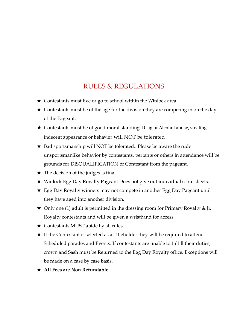## RULES & REGULATIONS

- $\star$  Contestants must live or go to school within the Winlock area.
- $\star$  Contestants must be of the age for the division they are competing in on the day of the Pageant.
- ★ Contestants must be of good moral standing. Drug or Alcohol abuse, stealing, indecent appearance or behavior will NOT be tolerated
- ★ Bad sportsmanship will NOT be tolerated.. Please be aware the rude unsportsmanlike behavior by contestants, pertants or others in attendance will be grounds for DISQUALIFICATION of Contestant from the pageant.
- $\star$  The decision of the judges is final
- ★ Winlock Egg Day Royalty Pageant Does not give out individual score sheets.
- ★ Egg Day Royalty winners may not compete in another Egg Day Pageant until they have aged into another division.
- $\star$  Only one (1) adult is permitted in the dressing room for Primary Royalty & Jr. Royalty contestants and will be given a wristband for access.
- $\star$  Contestants MUST abide by all rules.
- $\star$  If the Contestant is selected as a Titleholder they will be required to attend Scheduled parades and Events. If contestants are unable to fulfill their duties, crown and Sash must be Returned to the Egg Day Royalty office. Exceptions will be made on a case by case basis.
- ★ **All Fees are Non Refundable**.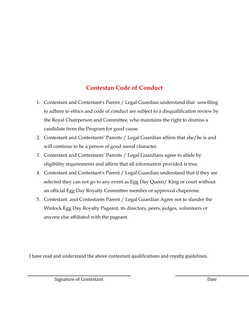## **Contestan Code of Conduct**

- 1. Contestant and Contestant's Parent / Legal Guardian understand that unwilling to adhere to ethics and code of conduct are subject to a disqualification review by the Royal Chairperson and Committee, who maintains the right to dismiss a candidate from the Program for good cause.
- 2. Contestant and Contestants' Parents / Legal Guardian affirm that she/he is and will continue to be a person of good moral character.
- 3. Contestant and Contestants' Parents / Legal Guardians agree to abide by eligibility requirements and affirm that all information provided is true.
- 4. Contestant and Contestant's Parent / Legal Guardian understand that if they are selected they can not go to any event as Egg Day Queen/ King or court without an official Egg Day Royalty Committee member or approved chaperone.
- 5. Contestant and Contestants Parent / Legal Guardian Agree not to slander the Winlock Egg Day Royalty Pageant, its directors, peers, judges, volunteers or anyone else affiliated with the pageant.

I have read and understand the above contestant qualifications and royalty guidelines.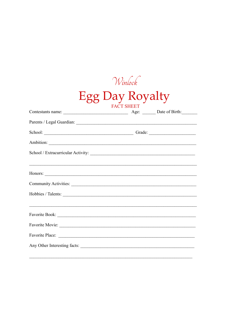| Winkoch                              |                                                                                                                                                                                                                               |  |
|--------------------------------------|-------------------------------------------------------------------------------------------------------------------------------------------------------------------------------------------------------------------------------|--|
| Egg Day Royalty<br><b>FACT SHEET</b> |                                                                                                                                                                                                                               |  |
|                                      |                                                                                                                                                                                                                               |  |
|                                      |                                                                                                                                                                                                                               |  |
|                                      | School: Change of Grade: Change of Grade: Change of Grade: Change of Grade: Change of Grade: Change of Grade: Change of Grade: Change of Grade: Change of Grade: Change of Grade: Change of Grade: Change of Grade: Change of |  |
|                                      | Ambition:                                                                                                                                                                                                                     |  |
|                                      |                                                                                                                                                                                                                               |  |
|                                      |                                                                                                                                                                                                                               |  |
|                                      |                                                                                                                                                                                                                               |  |
|                                      |                                                                                                                                                                                                                               |  |
|                                      |                                                                                                                                                                                                                               |  |
|                                      |                                                                                                                                                                                                                               |  |
|                                      |                                                                                                                                                                                                                               |  |
|                                      | Any Other Interesting facts:                                                                                                                                                                                                  |  |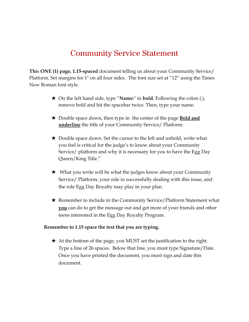# Community Service Statement

**Thi**s **ONE (1) page, 1.15-spaced** document telling us about your Community Service/ Platform. Set margins for 1" on all four sides. The font size set at "12" using the Times New Roman font style.

- ★ On the left hand side, type "**Name:**'' in **bold.** Following the colon (:), remove bold and hit the spacebar twice. Then, type your name.
- ★ Double space down, then type in the center of the page **Bold and underline** the title of your Community Service/ Platform.
- ★ Double space down. Set the cursor to the left and unbold, write what you feel is critical for the judge's to know about your Community Service/ platform and why it is necessary for you to have the Egg Day Queen/King Title."
- ★ What you write will be what the judges know about your Community Service/ Platform, your role in successfully dealing with this issue, and the role Egg Day Royalty may play in your plan.
- ★ Remember to include in the Community Service/Platform Statement what **you** can do to get the message out and get more of your friends and other teens interested in the Egg Day Royalty Program.

#### **Remember to 1.15 space the text that you are typing.**

★ At the bottom of the page, you MUST set the justification to the right. Type a line of 26 spaces. Below that line, you must type Signature/Date. Once you have printed the document, you must sign and date this document.